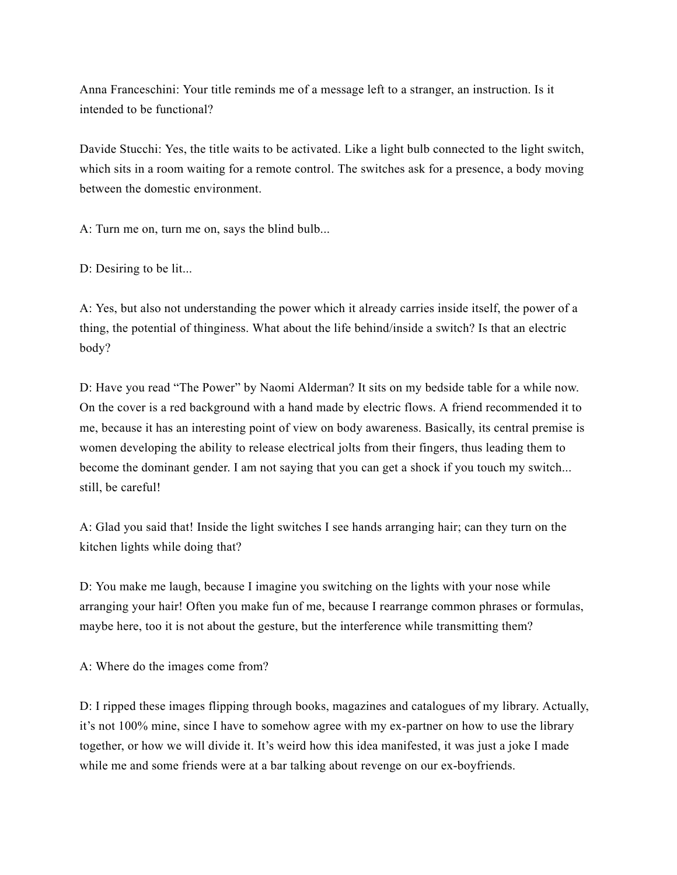Anna Franceschini: Your title reminds me of a message left to a stranger, an instruction. Is it intended to be functional?

Davide Stucchi: Yes, the title waits to be activated. Like a light bulb connected to the light switch, which sits in a room waiting for a remote control. The switches ask for a presence, a body moving between the domestic environment.

A: Turn me on, turn me on, says the blind bulb...

D: Desiring to be lit...

A: Yes, but also not understanding the power which it already carries inside itself, the power of a thing, the potential of thinginess. What about the life behind/inside a switch? Is that an electric body?

D: Have you read "The Power" by Naomi Alderman? It sits on my bedside table for a while now. On the cover is a red background with a hand made by electric flows. A friend recommended it to me, because it has an interesting point of view on body awareness. Basically, its central premise is women developing the ability to release electrical jolts from their fingers, thus leading them to become the dominant gender. I am not saying that you can get a shock if you touch my switch... still, be careful!

A: Glad you said that! Inside the light switches I see hands arranging hair; can they turn on the kitchen lights while doing that?

D: You make me laugh, because I imagine you switching on the lights with your nose while arranging your hair! Often you make fun of me, because I rearrange common phrases or formulas, maybe here, too it is not about the gesture, but the interference while transmitting them?

A: Where do the images come from?

D: I ripped these images flipping through books, magazines and catalogues of my library. Actually, it's not 100% mine, since I have to somehow agree with my ex-partner on how to use the library together, or how we will divide it. It's weird how this idea manifested, it was just a joke I made while me and some friends were at a bar talking about revenge on our ex-boyfriends.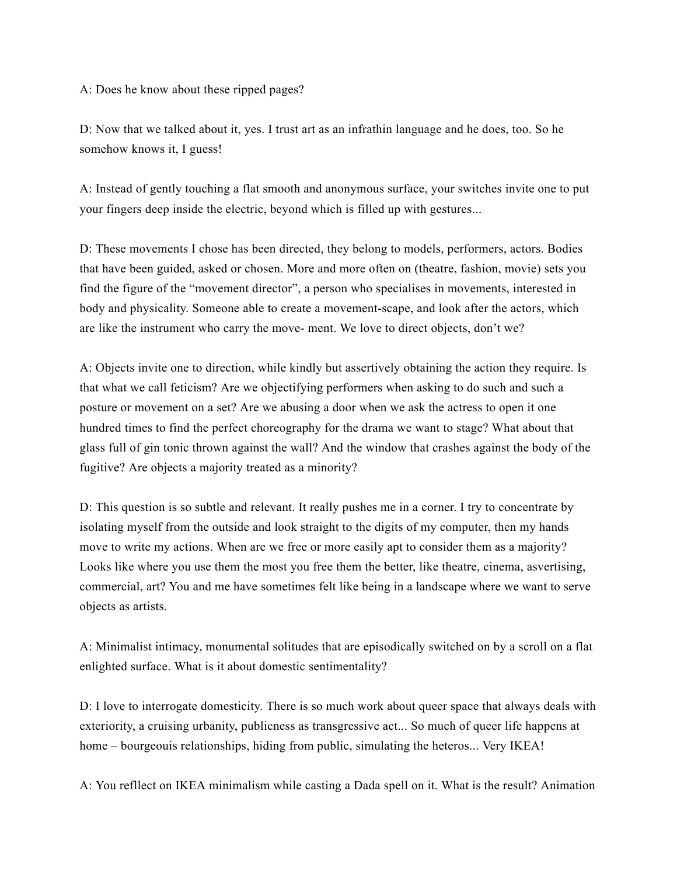A: Does he know about these ripped pages?

D: Now that we talked about it, yes. I trust art as an infrathin language and he does, too. So he somehow knows it, I guess!

A: Instead of gently touching a flat smooth and anonymous surface, your switches invite one to put your fingers deep inside the electric, beyond which is filled up with gestures...

D: These movements I chose has been directed, they belong to models, performers, actors. Bodies that have been guided, asked or chosen. More and more often on (theatre, fashion, movie) sets you find the figure of the "movement director", a person who specialises in movements, interested in body and physicality. Someone able to create a movement-scape, and look after the actors, which are like the instrument who carry the move- ment. We love to direct objects, don't we?

A: Objects invite one to direction, while kindly but assertively obtaining the action they require. Is that what we call feticism? Are we objectifying performers when asking to do such and such a posture or movement on a set? Are we abusing a door when we ask the actress to open it one hundred times to find the perfect choreography for the drama we want to stage? What about that glass full of gin tonic thrown against the wall? And the window that crashes against the body of the fugitive? Are objects a majority treated as a minority?

D: This question is so subtle and relevant. It really pushes me in a corner. I try to concentrate by isolating myself from the outside and look straight to the digits of my computer, then my hands move to write my actions. When are we free or more easily apt to consider them as a majority? Looks like where you use them the most you free them the better, like theatre, cinema, asvertising, commercial, art? You and me have sometimes felt like being in a landscape where we want to serve objects as artists.

A: Minimalist intimacy, monumental solitudes that are episodically switched on by a scroll on a flat enlighted surface. What is it about domestic sentimentality?

D: I love to interrogate domesticity. There is so much work about queer space that always deals with exteriority, a cruising urbanity, publicness as transgressive act... So much of queer life happens at home – bourgeouis relationships, hiding from public, simulating the heteros... Very IKEA!

A: You refllect on IKEA minimalism while casting a Dada spell on it. What is the result? Animation